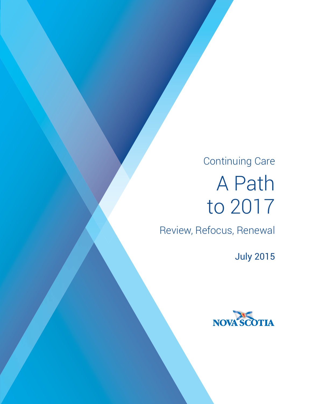# Continuing Care A Path to 2017

Review, Refocus, Renewal

July 2015

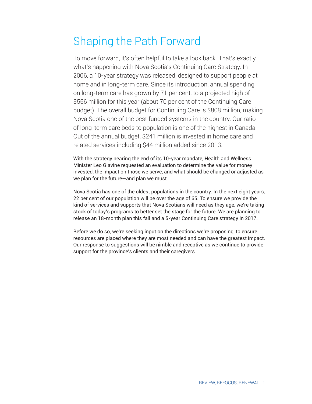# Shaping the Path Forward

To move forward, it's often helpful to take a look back. That's exactly what's happening with Nova Scotia's Continuing Care Strategy. In 2006, a 10-year strategy was released, designed to support people at home and in long-term care. Since its introduction, annual spending on long-term care has grown by 71 per cent, to a projected high of \$566 million for this year (about 70 per cent of the Continuing Care budget). The overall budget for Continuing Care is \$808 million, making Nova Scotia one of the best funded systems in the country. Our ratio of long-term care beds to population is one of the highest in Canada. Out of the annual budget, \$241 million is invested in home care and related services including \$44 million added since 2013.

With the strategy nearing the end of its 10-year mandate, Health and Wellness Minister Leo Glavine requested an evaluation to determine the value for money invested, the impact on those we serve, and what should be changed or adjusted as we plan for the future—and plan we must.

Nova Scotia has one of the oldest populations in the country. In the next eight years, 22 per cent of our population will be over the age of 65. To ensure we provide the kind of services and supports that Nova Scotians will need as they age, we're taking stock of today's programs to better set the stage for the future. We are planning to release an 18-month plan this fall and a 5-year Continuing Care strategy in 2017.

Before we do so, we're seeking input on the directions we're proposing, to ensure resources are placed where they are most needed and can have the greatest impact. Our response to suggestions will be nimble and receptive as we continue to provide support for the province's clients and their caregivers.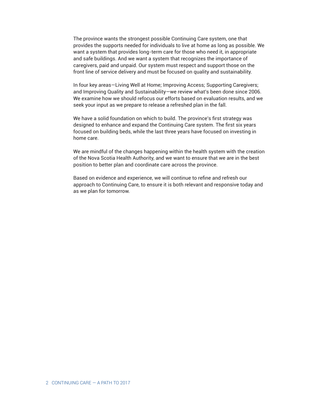The province wants the strongest possible Continuing Care system, one that provides the supports needed for individuals to live at home as long as possible. We want a system that provides long-term care for those who need it, in appropriate and safe buildings. And we want a system that recognizes the importance of caregivers, paid and unpaid. Our system must respect and support those on the front line of service delivery and must be focused on quality and sustainability.

In four key areas—Living Well at Home; Improving Access; Supporting Caregivers; and Improving Quality and Sustainability—we review what's been done since 2006. We examine how we should refocus our efforts based on evaluation results, and we seek your input as we prepare to release a refreshed plan in the fall.

We have a solid foundation on which to build. The province's first strategy was designed to enhance and expand the Continuing Care system. The first six years focused on building beds, while the last three years have focused on investing in home care.

We are mindful of the changes happening within the health system with the creation of the Nova Scotia Health Authority, and we want to ensure that we are in the best position to better plan and coordinate care across the province.

Based on evidence and experience, we will continue to refine and refresh our approach to Continuing Care, to ensure it is both relevant and responsive today and as we plan for tomorrow.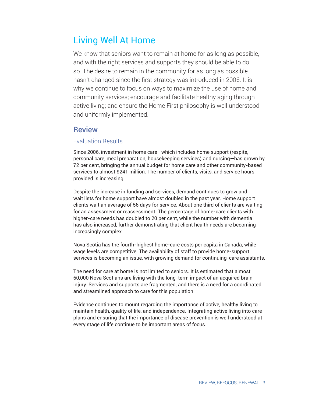# Living Well At Home

We know that seniors want to remain at home for as long as possible, and with the right services and supports they should be able to do so. The desire to remain in the community for as long as possible hasn't changed since the first strategy was introduced in 2006. It is why we continue to focus on ways to maximize the use of home and community services; encourage and facilitate healthy aging through active living; and ensure the Home First philosophy is well understood and uniformly implemented.

#### Review

#### Evaluation Results

Since 2006, investment in home care—which includes home support (respite, personal care, meal preparation, housekeeping services) and nursing—has grown by 72 per cent, bringing the annual budget for home care and other community-based services to almost \$241 million. The number of clients, visits, and service hours provided is increasing.

Despite the increase in funding and services, demand continues to grow and wait lists for home support have almost doubled in the past year. Home support clients wait an average of 56 days for service. About one third of clients are waiting for an assessment or reassessment. The percentage of home-care clients with higher-care needs has doubled to 20 per cent, while the number with dementia has also increased, further demonstrating that client health needs are becoming increasingly complex.

Nova Scotia has the fourth-highest home-care costs per capita in Canada, while wage levels are competitive. The availability of staff to provide home-support services is becoming an issue, with growing demand for continuing-care assistants.

The need for care at home is not limited to seniors. It is estimated that almost 60,000 Nova Scotians are living with the long-term impact of an acquired brain injury. Services and supports are fragmented, and there is a need for a coordinated and streamlined approach to care for this population.

Evidence continues to mount regarding the importance of active, healthy living to maintain health, quality of life, and independence. Integrating active living into care plans and ensuring that the importance of disease prevention is well understood at every stage of life continue to be important areas of focus.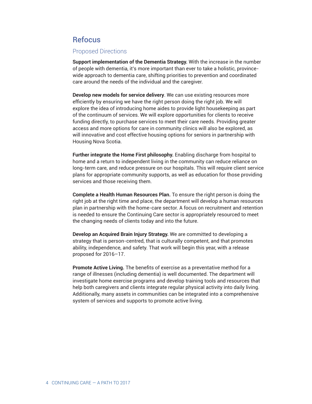#### **Refocus**

#### Proposed Directions

**Support implementation of the Dementia Strategy.** With the increase in the number of people with dementia, it's more important than ever to take a holistic, provincewide approach to dementia care, shifting priorities to prevention and coordinated care around the needs of the individual and the caregiver.

**Develop new models for service delivery**. We can use existing resources more efficiently by ensuring we have the right person doing the right job. We will explore the idea of introducing home aides to provide light housekeeping as part of the continuum of services. We will explore opportunities for clients to receive funding directly, to purchase services to meet their care needs. Providing greater access and more options for care in community clinics will also be explored, as will innovative and cost effective housing options for seniors in partnership with Housing Nova Scotia.

**Further integrate the Home First philosophy.** Enabling discharge from hospital to home and a return to independent living in the community can reduce reliance on long-term care, and reduce pressure on our hospitals. This will require client service plans for appropriate community supports, as well as education for those providing services and those receiving them.

**Complete a Health Human Resources Plan.** To ensure the right person is doing the right job at the right time and place, the department will develop a human resources plan in partnership with the home-care sector. A focus on recruitment and retention is needed to ensure the Continuing Care sector is appropriately resourced to meet the changing needs of clients today and into the future.

**Develop an Acquired Brain Injury Strategy.** We are committed to developing a strategy that is person-centred, that is culturally competent, and that promotes ability, independence, and safety. That work will begin this year, with a release proposed for 2016–17.

**Promote Active Living.** The benefits of exercise as a preventative method for a range of illnesses (including dementia) is well documented. The department will investigate home exercise programs and develop training tools and resources that help both caregivers and clients integrate regular physical activity into daily living. Additionally, many assets in communities can be integrated into a comprehensive system of services and supports to promote active living.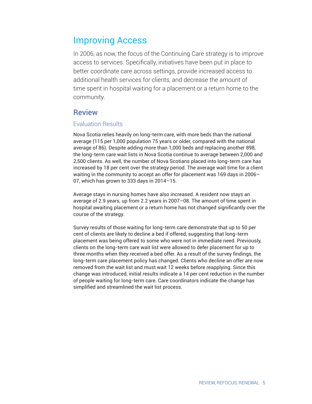# Improving Access

In 2006, as now, the focus of the Continuing Care strategy is to improve access to services. Specifically, initiatives have been put in place to better coordinate care across settings, provide increased access to additional health services for clients, and decrease the amount of time spent in hospital waiting for a placement or a return home to the community.

#### Review

#### Evaluation Results

Nova Scotia relies heavily on long-term care, with more beds than the national average (115 per 1,000 population 75 years or older, compared with the national average of 86). Despite adding more than 1,000 beds and replacing another 898, the long-term care wait lists in Nova Scotia continue to average between 2,000 and 2,500 clients. As well, the number of Nova Scotians placed into long-term care has increased by 18 per cent over the strategy period. The average wait time for a client waiting in the community to accept an offer for placement was 169 days in 2006– 07, which has grown to 333 days in 2014–15.

Average stays in nursing homes have also increased. A resident now stays an average of 2.9 years, up from 2.2 years in 2007–08. The amount of time spent in hospital awaiting placement or a return home has not changed significantly over the course of the strategy.

Survey results of those waiting for long-term care demonstrate that up to 50 per cent of clients are likely to decline a bed if offered, suggesting that long-term placement was being offered to some who were not in immediate need. Previously, clients on the long-term care wait list were allowed to defer placement for up to three months when they received a bed offer. As a result of the survey findings, the long-term care placement policy has changed. Clients who decline an offer are now removed from the wait list and must wait 12 weeks before reapplying. Since this change was introduced, initial results indicate a 14 per cent reduction in the number of people waiting for long-term care. Care coordinators indicate the change has simplified and streamlined the wait list process.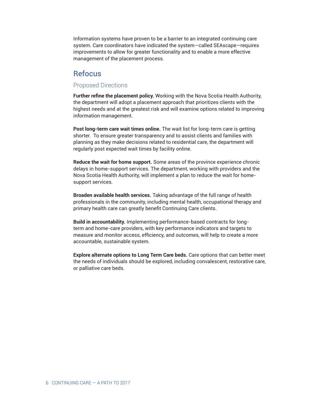Information systems have proven to be a barrier to an integrated continuing care system. Care coordinators have indicated the system—called SEAscape—requires improvements to allow for greater functionality and to enable a more effective management of the placement process.

#### Refocus

#### Proposed Directions

**Further refine the placement policy.** Working with the Nova Scotia Health Authority, the department will adopt a placement approach that prioritizes clients with the highest needs and at the greatest risk and will examine options related to improving information management.

**Post long-term care wait times online.** The wait list for long-term care is getting shorter. To ensure greater transparency and to assist clients and families with planning as they make decisions related to residential care, the department will regularly post expected wait times by facility online.

**Reduce the wait for home support.** Some areas of the province experience chronic delays in home-support services. The department, working with providers and the Nova Scotia Health Authority, will implement a plan to reduce the wait for homesupport services.

**Broaden available health services.** Taking advantage of the full range of health professionals in the community, including mental health, occupational therapy and primary health care can greatly benefit Continuing Care clients.

**Build in accountability.** Implementing performance-based contracts for longterm and home-care providers, with key performance indicators and targets to measure and monitor access, efficiency, and outcomes, will help to create a more accountable, sustainable system.

**Explore alternate options to Long Term Care beds.** Care options that can better meet the needs of individuals should be explored, including convalescent, restorative care, or palliative care beds.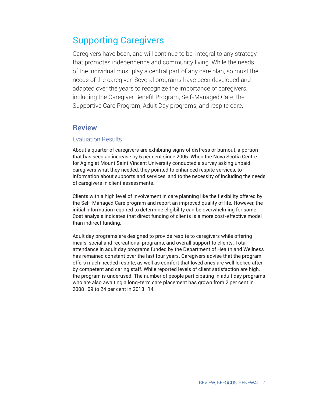# Supporting Caregivers

Caregivers have been, and will continue to be, integral to any strategy that promotes independence and community living. While the needs of the individual must play a central part of any care plan, so must the needs of the caregiver. Several programs have been developed and adapted over the years to recognize the importance of caregivers, including the Caregiver Benefit Program, Self-Managed Care, the Supportive Care Program, Adult Day programs, and respite care.

#### Review

#### Evaluation Results

About a quarter of caregivers are exhibiting signs of distress or burnout, a portion that has seen an increase by 6 per cent since 2006. When the Nova Scotia Centre for Aging at Mount Saint Vincent University conducted a survey asking unpaid caregivers what they needed, they pointed to enhanced respite services, to information about supports and services, and to the necessity of including the needs of caregivers in client assessments.

Clients with a high level of involvement in care planning like the flexibility offered by the Self-Managed Care program and report an improved quality of life. However, the initial information required to determine eligibility can be overwhelming for some. Cost analysis indicates that direct funding of clients is a more cost-effective model than indirect funding.

Adult day programs are designed to provide respite to caregivers while offering meals, social and recreational programs, and overall support to clients. Total attendance in adult day programs funded by the Department of Health and Wellness has remained constant over the last four years. Caregivers advise that the program offers much needed respite, as well as comfort that loved ones are well looked after by competent and caring staff. While reported levels of client satisfaction are high, the program is underused. The number of people participating in adult day programs who are also awaiting a long-term care placement has grown from 2 per cent in 2008–09 to 24 per cent in 2013–14.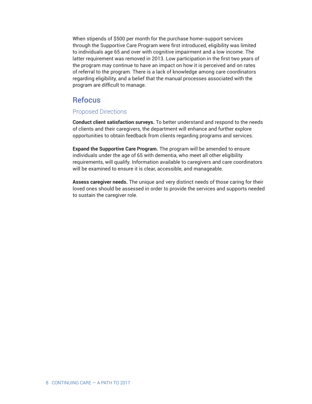When stipends of \$500 per month for the purchase home-support services through the Supportive Care Program were first introduced, eligibility was limited to individuals age 65 and over with cognitive impairment and a low income. The latter requirement was removed in 2013. Low participation in the first two years of the program may continue to have an impact on how it is perceived and on rates of referral to the program. There is a lack of knowledge among care coordinators regarding eligibility, and a belief that the manual processes associated with the program are difficult to manage.

#### Refocus

#### Proposed Directions

**Conduct client satisfaction surveys.** To better understand and respond to the needs of clients and their caregivers, the department will enhance and further explore opportunities to obtain feedback from clients regarding programs and services.

**Expand the Supportive Care Program.** The program will be amended to ensure individuals under the age of 65 with dementia, who meet all other eligibility requirements, will qualify. Information available to caregivers and care coordinators will be examined to ensure it is clear, accessible, and manageable.

**Assess caregiver needs.** The unique and very distinct needs of those caring for their loved ones should be assessed in order to provide the services and supports needed to sustain the caregiver role.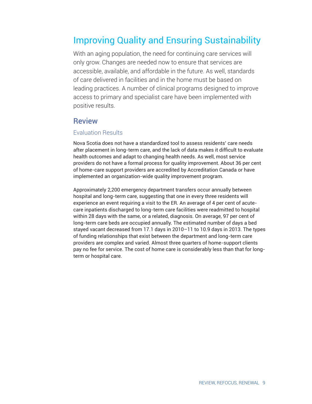# Improving Quality and Ensuring Sustainability

With an aging population, the need for continuing care services will only grow. Changes are needed now to ensure that services are accessible, available, and affordable in the future. As well, standards of care delivered in facilities and in the home must be based on leading practices. A number of clinical programs designed to improve access to primary and specialist care have been implemented with positive results.

#### **Review**

#### Evaluation Results

Nova Scotia does not have a standardized tool to assess residents' care needs after placement in long-term care, and the lack of data makes it difficult to evaluate health outcomes and adapt to changing health needs. As well, most service providers do not have a formal process for quality improvement. About 36 per cent of home-care support providers are accredited by Accreditation Canada or have implemented an organization-wide quality improvement program.

Approximately 2,200 emergency department transfers occur annually between hospital and long-term care, suggesting that one in every three residents will experience an event requiring a visit to the ER. An average of 4 per cent of acutecare inpatients discharged to long-term care facilities were readmitted to hospital within 28 days with the same, or a related, diagnosis. On average, 97 per cent of long-term care beds are occupied annually. The estimated number of days a bed stayed vacant decreased from 17.1 days in 2010–11 to 10.9 days in 2013. The types of funding relationships that exist between the department and long-term care providers are complex and varied. Almost three quarters of home-support clients pay no fee for service. The cost of home care is considerably less than that for longterm or hospital care.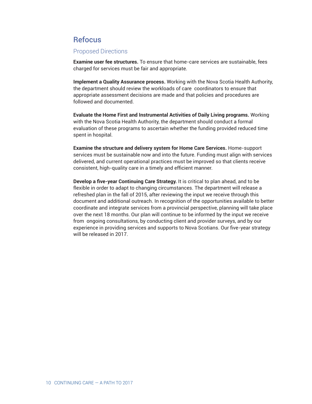### **Refocus**

#### Proposed Directions

**Examine user fee structures.** To ensure that home-care services are sustainable, fees charged for services must be fair and appropriate.

**Implement a Quality Assurance process.** Working with the Nova Scotia Health Authority, the department should review the workloads of care coordinators to ensure that appropriate assessment decisions are made and that policies and procedures are followed and documented.

**Evaluate the Home First and Instrumental Activities of Daily Living programs.** Working with the Nova Scotia Health Authority, the department should conduct a formal evaluation of these programs to ascertain whether the funding provided reduced time spent in hospital.

**Examine the structure and delivery system for Home Care Services.** Home-support services must be sustainable now and into the future. Funding must align with services delivered, and current operational practices must be improved so that clients receive consistent, high-quality care in a timely and efficient manner.

**Develop a five-year Continuing Care Strategy.** It is critical to plan ahead, and to be flexible in order to adapt to changing circumstances. The department will release a refreshed plan in the fall of 2015, after reviewing the input we receive through this document and additional outreach. In recognition of the opportunities available to better coordinate and integrate services from a provincial perspective, planning will take place over the next 18 months. Our plan will continue to be informed by the input we receive from ongoing consultations, by conducting client and provider surveys, and by our experience in providing services and supports to Nova Scotians. Our five-year strategy will be released in 2017.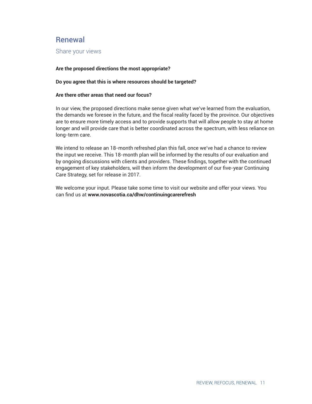#### **Renewal**

Share your views

#### **Are the proposed directions the most appropriate?**

#### **Do you agree that this is where resources should be targeted?**

#### **Are there other areas that need our focus?**

In our view, the proposed directions make sense given what we've learned from the evaluation, the demands we foresee in the future, and the fiscal reality faced by the province. Our objectives are to ensure more timely access and to provide supports that will allow people to stay at home longer and will provide care that is better coordinated across the spectrum, with less reliance on long-term care.

We intend to release an 18-month refreshed plan this fall, once we've had a chance to review the input we receive. This 18-month plan will be informed by the results of our evaluation and by ongoing discussions with clients and providers. These findings, together with the continued engagement of key stakeholders, will then inform the development of our five-year Continuing Care Strategy, set for release in 2017.

We welcome your input. Please take some time to visit our website and offer your views. You can find us at www.novascotia.ca/dhw/continuingcarerefresh